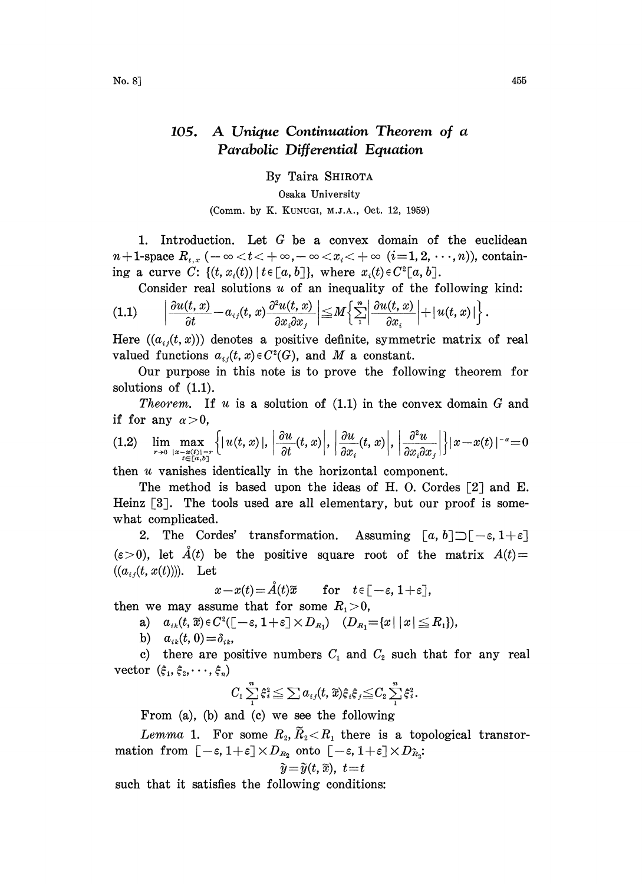## 105. A Unique Continuation Theorem of <sup>a</sup> Parabolic Differential Equation

By Taira SHIROTA

Osaka University

(Comm. by K. KUNUGI, M.J.A., Oct. 12, 1959)

1. Introduction. Let  $G$  be a convex domain of the euclidean  $n+1$ -space  $R_{t,x}$  ( $-\infty < t < +\infty, -\infty < x_i < +\infty$  (i=1, 2, ..., n)), containing a curve C:  $\{(t, x_i(t)) | t \in [a, b]\}$ , where  $x_i(t) \in C^2[a, b].$ 

Consider real solutions  $u$  of an inequality of the following kind:

$$
(1.1) \qquad \left|\frac{\partial u(t,x)}{\partial t}-a_{ij}(t,x)\frac{\partial^2 u(t,x)}{\partial x_i \partial x_j}\right|\leq M\left\{\sum_{i=1}^n\left|\frac{\partial u(t,x)}{\partial x_i}\right|+|u(t,x)|\right\}.
$$

Here  $((a_{ij}(t, x)))$  denotes a positive definite, symmetric matrix of real valued functions  $a_{ij}(t, x) \in C^2(G)$ , and M a constant.

Our purpose in this note is to prove the following theorem for solutions of (1.1).

*Theorem.* If u is a solution of  $(1.1)$  in the convex domain G and if for any  $\alpha>0$ ,

$$
(1.2) \quad \lim_{r\to 0}\max_{\substack{|x-x(t)|=r\\t\in [a,b]}}\left\{|u(t,x)|,\left|\frac{\partial u}{\partial t}(t,x)\right|,\left|\frac{\partial u}{\partial x_i}(t,x)\right|,\left|\frac{\partial^2 u}{\partial x_i\partial x_j}\right|\right\}|x-x(t)|^{-\alpha}=0
$$

then u vanishes identically in the horizontal component.

The method is based upon the ideas of H.O. Cordes  $\lceil 2 \rceil$  and E. Heinz  $[3]$ . The tools used are all elementary, but our proof is somewhat complicated.

2. The Cordes' transformation. Assuming  $[a, b] \supset [-\varepsilon, 1 +$ <br>
(i), let  $\AA(t)$  be the positive square root of the matrix  $A(t)$ <br>  $(t, x(t))$ ). Let  $x - x(t) = \AA(t)$  for  $t \in [-\varepsilon, 1 + \varepsilon]$  $(\varepsilon>0)$ , let  $\AA(t)$  be the positive square root of the matrix  $A(t)=$  $((a_{ij}(t, x(t))))$ . Let

$$
x-x(t) = \mathring{A}(t)\widetilde{x} \quad \text{for} \quad t \in [-\varepsilon, 1+\varepsilon],
$$

then we may assume that for some  $R_1>0$ ,

we may assume that for some 
$$
R_1 > 0
$$
,  
\na)  $a_{ik}(t, \widetilde{x}) \in C^2([- \varepsilon, 1 + \varepsilon] \times D_{R_1})$   $(D_{R_1} = \{x \mid |x| \le R_1\}),$ 

b)  $a_{ik}(t,0)=\delta_{ik}$ 

c) there are positive numbers  $C_1$  and  $C_2$  such that for any real vector  $(\xi_1, \xi_2, \dots, \xi_n)$ 

$$
C_1\sum_{1}^{n}\xi_i^2\leq \sum a_{ij}(t,\widetilde{x})\xi_i\xi_j\leq C_2\sum_{1}^{n}\xi_i^2.
$$

From (a), (b) and (c) we see the following

Lemma 1. For some  $R_2, R_2 < R_1$  there is a topological transformation from For some  $K_2, K_2 < K_1$  there is a top.<br>  $[-\varepsilon, 1+\varepsilon] \times D_{R_2}$  onto  $[-\varepsilon, 1+\varepsilon] \times D_{R_2}$ :<br>  $\tilde{y} = \tilde{y}(t, \tilde{x}), t = t$ <br>
aatisfies the following conditions:

$$
\tilde{y} = \tilde{y}(t, \tilde{x}), t = t
$$

such that it satisfies the following conditions: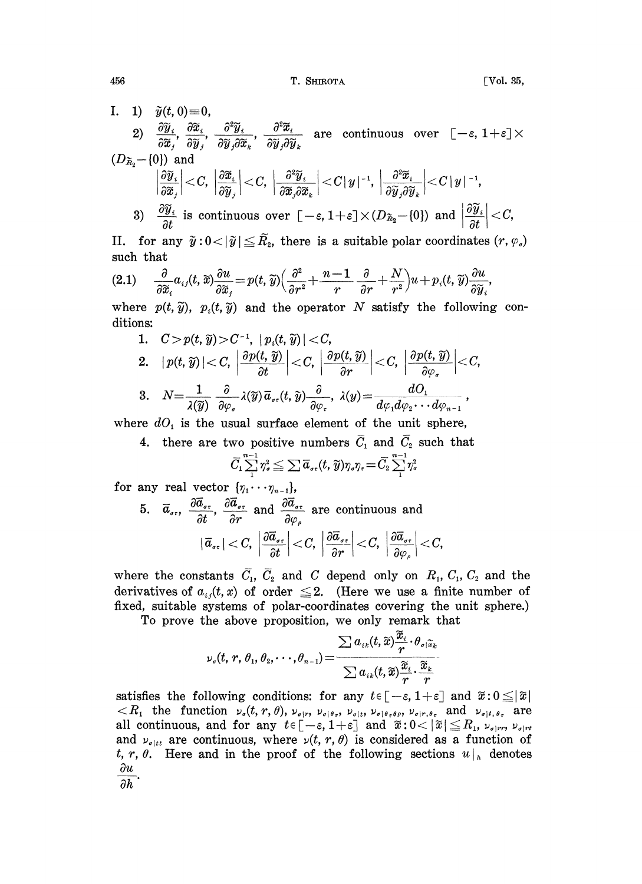I. 1)  $\tilde{y}(t, 0) \equiv 0$ , 2)  $\frac{\partial \widetilde{y}_i}{\partial \widetilde{x}_j}, \frac{\partial \widetilde{x}_i}{\partial \widetilde{y}_j}, \frac{\partial^2 \widetilde{y}_i}{\partial \widetilde{y}_j \partial \widetilde{x}_k}, \frac{\partial^2 \widetilde{x}_i}{\partial \widetilde{y}_j \partial \widetilde{y}_k}$  are continuous over  $[-\varepsilon, 1+\varepsilon] \times$  $(D_{\widetilde{\mathbf{z}}_2}\!-\! \{0\}) \ \ \text{and} \ \ \left|\frac{\partial \widetilde{y}_i}{\partial \widetilde{x}_i}\right| \!<\! C, \ \left|\frac{\partial \widetilde{x}_i}{\partial \widetilde{y}_i}\right| \!<\! C, \ \left|\frac{\partial^2 \widetilde{y}_i}{\partial \widetilde{x}_i \partial \widetilde{x}_k}\right| \!<\! C|\, y\,|^{-1}, \ \left|\frac{\partial^2 \widetilde{x}_i}{\partial \widetilde{y}_i \partial \widetilde{y}_k}\right| \!<\! C|\, y\,|^{-1},$ 

3)  $\frac{\partial \widetilde{y}_i}{\partial t}$  is continuous over  $[-\varepsilon, 1+\varepsilon]\times(D_{\tilde{\kappa}_2}-\{0\})$  and  $\left|\frac{\partial \widetilde{y}_i}{\partial t}\right| < C$ ,

II. for any  $\tilde{y}$ :<br>such that such that

II. for any 
$$
\tilde{y}: 0 < |\tilde{y}| \leq \tilde{R}_2
$$
, there is a suitable polar coordinates  $(r, \varphi_s)$   
such that  

$$
(2.1) \quad \frac{\partial}{\partial \tilde{x}_i} a_{ij}(t, \tilde{x}) \frac{\partial u}{\partial \tilde{x}_j} = p(t, \tilde{y}) \Big( \frac{\partial^2}{\partial r^2} + \frac{n-1}{r} \frac{\partial}{\partial r} + \frac{N}{r^2} \Big) u + p_i(t, \tilde{y}) \frac{\partial u}{\partial \tilde{y}_i},
$$

where  $p(t, \tilde{y})$ ,  $p_i(t, \tilde{y})$  and the operator N satisfy the following<br>ditional conditions:

1. 
$$
C > p(t, \widetilde{y}) > C^{-1}
$$
,  $|p_i(t, \widetilde{y})| < C$ ,  
\n2.  $|p(t, \widetilde{y})| < C$ ,  $\left|\frac{\partial p(t, \widetilde{y})}{\partial t}\right| < C$ ,  $\left|\frac{\partial p(t, \widetilde{y})}{\partial r}\right| < C$ ,  $\left|\frac{\partial p(t, \widetilde{y})}{\partial \varphi}\right| < C$ ,  
\n3.  $N = \frac{1}{\lambda(\widetilde{y})} \frac{\partial}{\partial \varphi_s} \lambda(\widetilde{y}) \overline{a}_{\sigma r}(t, \widetilde{y}) \frac{\partial}{\partial \varphi_r}$ ,  $\lambda(y) = \frac{dO_1}{d\varphi_1 d\varphi_2 \cdots d\varphi_{n-1}}$ ,

where  $dO_1$  is the usual surface element of the unit sphere,

4. there are two positive numbers  $\overline{C}_1$  and  $\overline{C}_2$  such that

$$
\bar{C}_1\sum_1^{n-1}\eta_\sigma^2\leqq \sum \overline{a}_{\sigma\tau}(t,\widetilde{y})\eta_\sigma\eta_\tau\!=\!\bar{C}_2\sum_1^{n-1}\eta_\sigma^2
$$

$$
\begin{aligned} \text{for any real vector } \{\eta_1\cdots\eta_{n-1}\},\\ \text{5.} \quad & \overline{a}_{\sigma\tau}, \enspace \frac{\partial \overline{a}_{\sigma\tau}}{\partial t}, \enspace \frac{\partial \overline{a}_{\sigma\tau}}{\partial r} \enspace \text{and} \enspace \frac{\partial \overline{a}_{\sigma\tau}}{\partial \varphi_{\rho}} \enspace \text{are continuous and} \\ & |\overline{a}_{\sigma\tau}| < C, \enspace \left|\frac{\partial \overline{a}_{\sigma\tau}}{\partial t}\right| < C, \enspace \left|\frac{\partial \overline{a}_{\sigma\tau}}{\partial r}\right| < C, \enspace \left|\frac{\partial \overline{a}_{\sigma\tau}}{\partial \varphi_{\rho}}\right| < C, \end{aligned}
$$

where the constants  $\overline{C}_1$ ,  $\overline{C}_2$  and C depend only on  $R_1$ ,  $C_1$ ,  $C_2$  and the derivatives of  $a_{ij}(t, x)$  of order  $\leq 2$ . (Here we use a finite number of fixed, suitable systems of polar-coordinates covering the unit sphere.) , suitable systems of polar-coordinates covering the u<br>To prove the above proposition, we only remark that

$$
\nu_{\sigma}(t, r, \theta_1, \theta_2, \cdots, \theta_{n-1}) = \frac{\sum a_{ik}(t, \widetilde{x}) \frac{x_i}{r} \cdot \theta_{\sigma | \widetilde{x}_k}}{\sum a_{ik}(t, \widetilde{x}) \frac{\widetilde{x}_i}{r} \cdot \frac{\widetilde{x}_k}{r}}
$$

 $\nu_{\sigma}(t, r, \theta_1, \theta_2, \dots, \theta_{n-1}) = \frac{\sum a_{ik}(t, \tilde{x}) \frac{\tilde{\Sigma}_i}{r} \cdot \theta_{\sigma|\tilde{x}_k}}{\sum a_{ik}(t, \tilde{x}) \frac{\tilde{x}_i}{r} \cdot \tilde{x}_k}$ <br>satisfies the following conditions: for any  $t \in [-\varepsilon, 1+\varepsilon]$  and  $\tilde{x}: 0 \leq |\tilde{x}|$ <br> $\lt R_1$  the function  $\nu_{\sigma}($ satisfies the following conditions: for any  $t \in [-\varepsilon, 1+\varepsilon]$  and  $\widetilde{x} : 0 \leq |\widetilde{x}|$ <br>  $\langle R_1 \rangle$  the function  $\nu_\sigma(t, r, \theta), \nu_{\sigma|r}, \nu_{\sigma|\theta,r}, \nu_{\sigma|t}, \nu_{\sigma|\theta,r,\theta,r}, \nu_{\sigma|r,\theta,r}$  and  $\nu_{\sigma|t, \theta,r}$  are satisfies the following conditions: for any  $t \in [-\varepsilon, 1+\varepsilon]$  and  $\tilde{x} : 0 \leq |\tilde{x}|$ and  $\nu_{\sigma\|tt}$  are continuous, where  $\nu(t, r, \theta)$  is considered as a function of t, r,  $\theta$ . Here and in the proof of the following sections  $u|_h$  denotes  $\partial u$ 

$$
\partial h
$$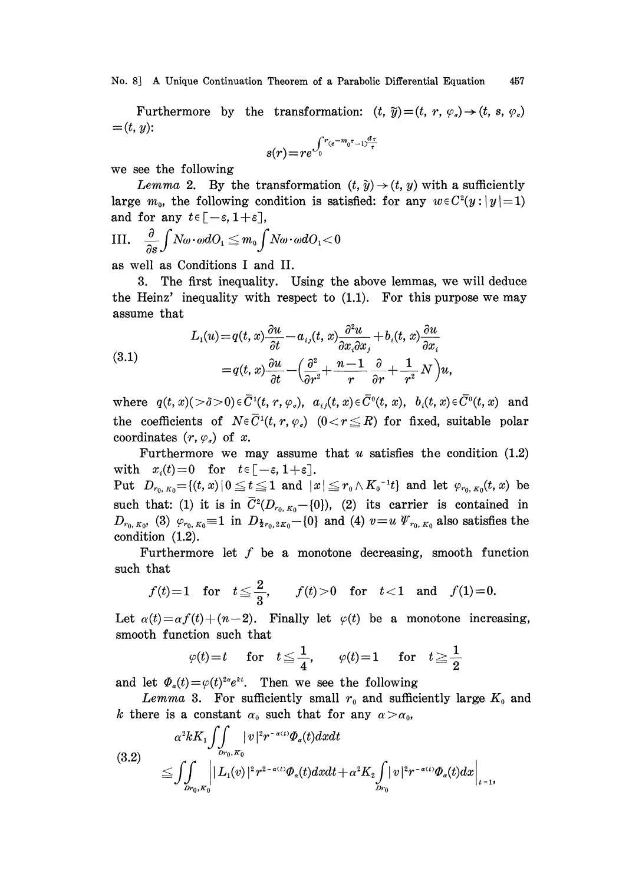No. 8] A Unique Continuation Theorem of <sup>a</sup> Parabolic Differential Equation <sup>457</sup>

Furthermore by the transformation:  $(t, \tilde{y}) = (t, r, \varphi_{\sigma}) \rightarrow (t, s, \varphi_{\sigma})$  $=(t, y)$ :

$$
s(r) = re^{\int_0^r (e^{-m_0 t}-1)^{\frac{d\tau}{\tau}}}
$$

we see the following

Lemma 2. By the transformation  $(t, \tilde{y}) \rightarrow (t, y)$  with a sufficiently large  $m_0$ , the following condition is satisfied: for any  $w \in C^2(y:|y|=1)$ and for any  $t \in [-\varepsilon, 1+\varepsilon],$ 

$$
\text{III.} \quad \frac{\partial}{\partial s}\int N\omega\cdot\omega dO_1\leqq m_0\int N\omega\cdot\omega dO_1<0
$$

as well as Conditions <sup>I</sup> and II.

3. The first inequality. Using the above lemmas, we will deduce the Heinz' inequality with respect to (1.1). For this purpose we may assume that

(3.1)  

$$
L_1(u) = q(t, x)\frac{\partial u}{\partial t} - a_{ij}(t, x)\frac{\partial^2 u}{\partial x_i \partial x_j} + b_i(t, x)\frac{\partial u}{\partial x_i}
$$

$$
= q(t, x)\frac{\partial u}{\partial t} - \left(\frac{\partial^2}{\partial r^2} + \frac{n-1}{r}\frac{\partial}{\partial r} + \frac{1}{r^2}N\right)u,
$$

where  $q(t, x)$ ( $> \delta > 0$ ) $\in \overline{C}^1(t, r, \varphi_s)$ ,  $a_{ij}(t, x) \in \overline{C}^0(t, x)$ ,  $b_i(t, x) \in \overline{C}^0(t, x)$  and the coefficients of  $N \in \overline{C}^1(t, r, \varphi)$   $(0 < r \leq R)$  for fixed, suitable polar coordinates  $(r, \varphi_{\scriptscriptstyle \sigma})$  of x.

Furthermore we may assume that  $u$  satisfies the condition  $(1.2)$ with  $x_i(t)=0$  for  $t \in [-\varepsilon, 1+\varepsilon].$ 

Put  $D_{r_0,K_0} = \{(t,x)|0 \le t \le 1 \text{ and } |x| \le r_0 \wedge K_0^{-1}t \}$  and let  $\varphi_{r_0,K_0}(t,x)$  be such that: (1) it is in  $\overline{C}^2(D_{r_0,K_0}-[0])$ , (2) its carrier is contained in  $D_{r_0, K_0}$ , (3)  $\varphi_{r_0, K_0} = 1$  in  $D_{\frac{1}{2}r_0, 2K_0}$  - {0} and (4)  $v=u \Psi_{r_0, K_0}$  also satisfies the condition (1.2).

Furthermore let  $f$  be a monotone decreasing, smooth function such that

$$
f(t)=1
$$
 for  $t \le \frac{2}{3}$ ,  $f(t)>0$  for  $t<1$  and  $f(1)=0$ .

Let  $\alpha(t) = \alpha f(t) + (n-2)$ . Finally let  $\varphi(t)$  be a monotone increasing, smooth function such that

$$
\varphi(t)=t
$$
 for  $t \leq \frac{1}{4}$ ,  $\varphi(t)=1$  for  $t \geq \frac{1}{2}$ 

and let  $\Phi_{\alpha}(t)=\varphi(t)^{2\alpha}e^{\lambda t}$ . Then we see the following

Lemma 3. For sufficiently small  $r_0$  and sufficiently large  $K_0$  and k there is a constant  $\alpha_0$  such that for any  $\alpha > \alpha_0$ ,

$$
(3.2) \quad \alpha^{2}kK_{1}\iiint_{Dr_{0},K_{0}}|v|^{2}r^{-\alpha(t)}\Phi_{\alpha}(t)dxdt
$$
\n
$$
\leq \iiint_{Dr_{0},K_{0}}||L_{1}(v)|^{2}r^{2-\alpha(t)}\Phi_{\alpha}(t)dxdt + \alpha^{2}K_{2}\iint_{Dr_{0}}|v|^{2}r^{-\alpha(t)}\Phi_{\alpha}(t)dx|_{t=1},
$$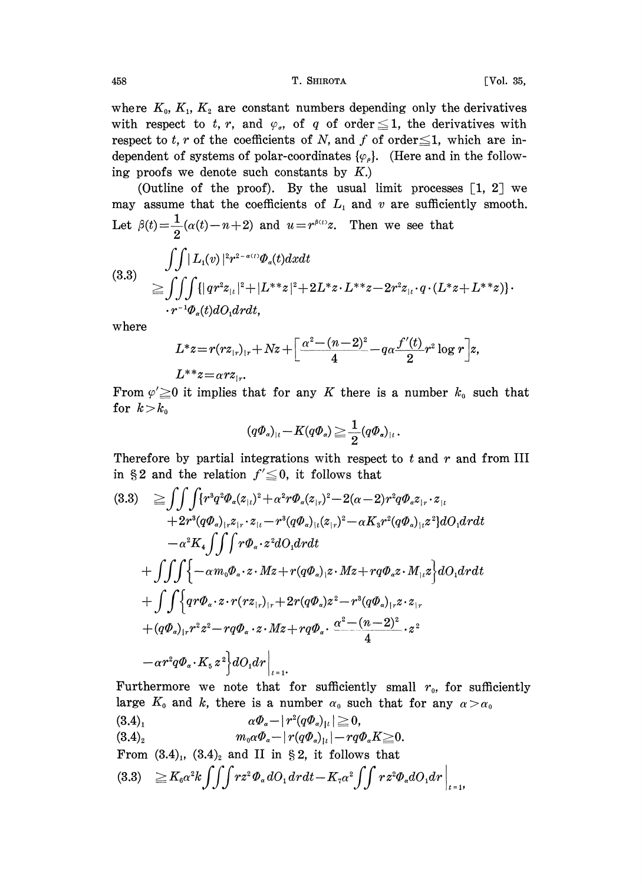458 **T. SHIROTA CONSERVATE:** CONSISTENT **CONSISTENT CONSISTENT CONSISTENT CONSISTENT** 

where  $K_0$ ,  $K_1$ ,  $K_2$  are constant numbers depending only the derivatives with respect to t, r, and  $\varphi$ , of q of order  $\leq$  1, the derivatives with respect to t, r of the coefficients of N, and f of order  $\leq 1$ , which are independent of systems of polar-coordinates  $\{\varphi_{\rho}\}$ . (Here and in the following proofs we denote such constants by  $K$ .)

(Outline of the proof). By the usual limit processes  $\lceil 1, 2 \rceil$  we may assume that the coefficients of  $L_1$  and v are sufficiently smooth. Let  $\beta(t) = \frac{1}{2}(\alpha(t)-n+2)$  and  $u = r^{\beta(t)}z$ . Then we see that

(3.3)  
\n
$$
\iint |L_1(v)|^2 r^{2-\alpha(t)} \Phi_{\alpha}(t) dx dt
$$
\n
$$
\geq \iiint_{r^{-1}\Phi_{\alpha}(t) dO_1 dr} (|qr^2 z_{|_t}|^2 + |L^{*} z|^2 + 2L^{*} z \cdot L^{**} z - 2r^2 z_{|_t} \cdot q \cdot (L^{*} z + L^{**} z)) \cdot
$$
\n
$$
\cdot r^{-1} \Phi_{\alpha}(t) dO_1 dr dt,
$$

where

$$
L^*z = r(rz_{|r|_r} + Nz + \left[\frac{\alpha^2 - (n-2)^2}{4} - q\alpha \frac{f'(t)}{2}r^2 \log r\right]z,
$$

$$
L^{**}z{=}\alpha r z_{|r}.
$$

From  $\varphi' \geq 0$  it implies that for any K there is a number  $k_0$  such that for  $k > k_0$ 

$$
(q\varPhi_{\scriptscriptstyle \alpha})_{\scriptscriptstyle \mid t} \!-\! K(q\varPhi_{\scriptscriptstyle \alpha}) \!\geq\! \frac{1}{2} (q\varPhi_{\scriptscriptstyle \alpha})_{\scriptscriptstyle \mid t}\,.
$$

Therefore by partial integrations with respect to  $t$  and  $r$  and from III in §2 and the relation  $f' \leq 0$ , it follows that

$$
(3.3) \quad \geq \int \int \int \{r^3 q^2 \Phi_{\alpha}(z_{1\iota})^2 + \alpha^2 r \Phi_{\alpha}(z_{1r})^2 - 2(\alpha - 2)r^2 q \Phi_{\alpha} z_{1r} \cdot z_{1\iota} \n+ 2r^3 (q \Phi_{\alpha})_{1r} z_{1r} \cdot z_{1\iota} - r^3 (q \Phi_{\alpha})_{1\iota} (z_{1r})^2 - \alpha K_3 r^2 (q \Phi_{\alpha})_{1\iota} z^2 \} dO_1 dr dt \n- \alpha^2 K_4 \int \int \int r \Phi_{\alpha} \cdot z^2 dO_1 dr dt \n+ \int \int \int \{-\alpha m_0 \Phi_{\alpha} \cdot z \cdot Mz + r(q \Phi_{\alpha}) z \cdot Mz + r q \Phi_{\alpha} z \cdot M_{1\iota} z \} dO_1 dr dt \n+ \int \int \{qr \Phi_{\alpha} \cdot z \cdot r(rz_{1r})_{1r} + 2r(q \Phi_{\alpha}) z^2 - r^3 (q \Phi_{\alpha})_{1r} z \cdot z_{1r} \n+ (q \Phi_{\alpha})_{1r} r^2 z^2 - r q \Phi_{\alpha} \cdot z \cdot Mz + r q \Phi_{\alpha} \cdot \frac{\alpha^2 - (n-2)^2}{4} \cdot z^2 \n- \alpha r^2 q \Phi_{\alpha} \cdot K_5 z^2 \} dO_1 dr \Big|_{t=1}.
$$

Furthermore we note that for sufficiently small  $r_0$ , for sufficiently large  $K_0$  and k, there is a number  $\alpha_0$  such that for any  $\alpha > \alpha_0$ 

$$
(3.4)1 \qquad \alpha \Phi_{\alpha} - |r^2(q\Phi_{\alpha})_{l^2}| \geq 0,
$$
  

$$
(3.4)2 \qquad m_0 \alpha \Phi_{\alpha} - |r(q\Phi_{\alpha})_{l^2}| - r q \Phi_{\alpha} K \geq 0.
$$
  
From (3.4)<sub>1</sub>, (3.4)<sub>2</sub> and II in § 2, it follows that

$$
(3.3) \quad \geq K_{6}\alpha^{2}k \int \int \int r z^{2} \varPhi_{\alpha} dO_{1} dr dt - K_{7}\alpha^{2} \int \int r z^{2} \varPhi_{\alpha} dO_{1} dr \Big|_{t=1},
$$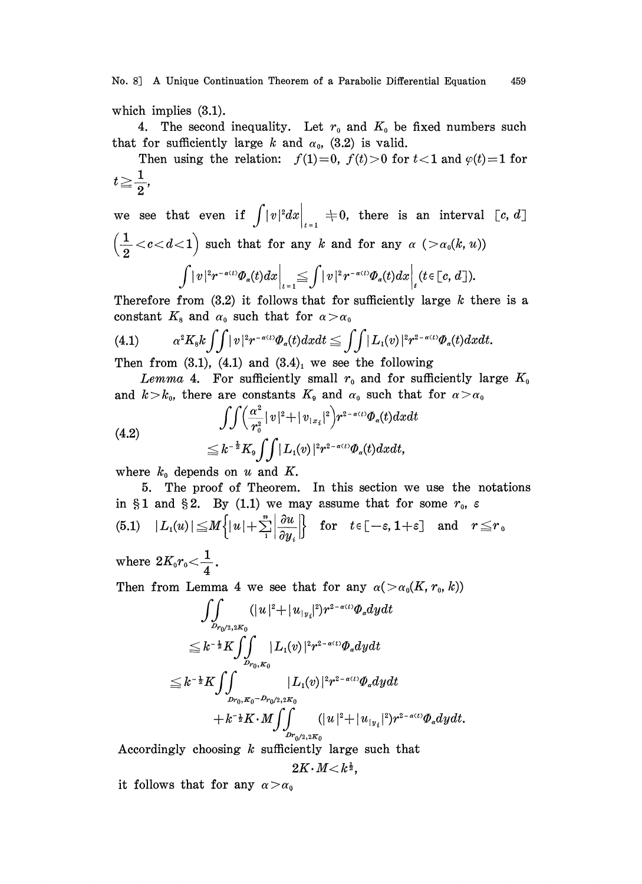which implies (3.1).

4. The second inequality. Let  $r_0$  and  $K_0$  be fixed numbers such that for sufficiently large k and  $\alpha_0$ , (3.2) is valid.

Then using the relation:  $f(1)=0$ ,  $f(t)>0$  for  $t<1$  and  $\varphi(t)=1$  for  $t\geq \frac{1}{2},$ 

we see that even if  $\int |v|^2 dx \Big|_{t=1} = 0$ , there is an interval  $[c, d]$  $\left(\frac{1}{2} < c < d < 1\right)$  such that for any k and for any  $\alpha$  ( $>\alpha_0(k, u)$ )  $\int |v|^2 r^{-\alpha(t)} \Phi_{\alpha}(t) dx \Big|_{t=1} \leq \int |v|^2 r^{-\alpha(t)} \Phi_{\alpha}(t) dx \Big|_{t} (t \in [c, d]).$ 

Therefore from  $(3.2)$  it follows that for sufficiently large k there is a constant  $K_8$  and  $\alpha_0$  such that for  $\alpha > \alpha_0$ 

(4.1) 
$$
\alpha^2 K_s k \iint |v|^2 r^{-\alpha(t)} \Phi_{\alpha}(t) dx dt \leq \iint |L_1(v)|^2 r^{2-\alpha(t)} \Phi_{\alpha}(t) dx dt.
$$

Then from  $(3.1)$ ,  $(4.1)$  and  $(3.4)$ , we see the following

Lemma 4. For sufficiently small  $r_0$  and for sufficiently large  $K_0$ and  $k > k_0$ , there are constants  $K_9$  and  $\alpha_0$  such that for  $\alpha > \alpha_0$ 

(4.2)  

$$
\iint \left(\frac{\alpha^2}{r_0^2} |v|^2 + |v_{1x_i}|^2\right) r^{2-\alpha(t)} \Phi_{\alpha}(t) dx du
$$

$$
\leq k^{-\frac{1}{2}} K_9 \iint |L_1(v)|^2 r^{2-\alpha(t)} \Phi_{\alpha}(t) dx dt,
$$

where  $k_0$  depends on u and K.

5. The proof of Theorem. In this section we use the notations in §1 and §2. By (1.1) we may assume that for some  $r_0$ ,  $\varepsilon$ (5.1)  $|L_1(u)| \leq M \left\{ |u| + \sum_{i=1}^n \left| \frac{\partial u}{\partial u_i} \right| \right\}$  for  $t \in [-\varepsilon, 1+\varepsilon]$  and  $r \leq r_0$ 

where  $2K_0r_0<\frac{1}{4}$ 

Then from Lemma 4 we see that for any  $\alpha(>\alpha_0(K, r_0, k))$ 

ff (]u[+lul DrO/2 20 Dro,0 k- Kff IL,(v).[r=-(t)dydt

Accordingly choosing  $k$  sufficiently large such that

$$
2K\!\cdot\!M\!<\!k^{\frac{1}{2}},
$$

it follows that for any  $\alpha > \alpha_0$